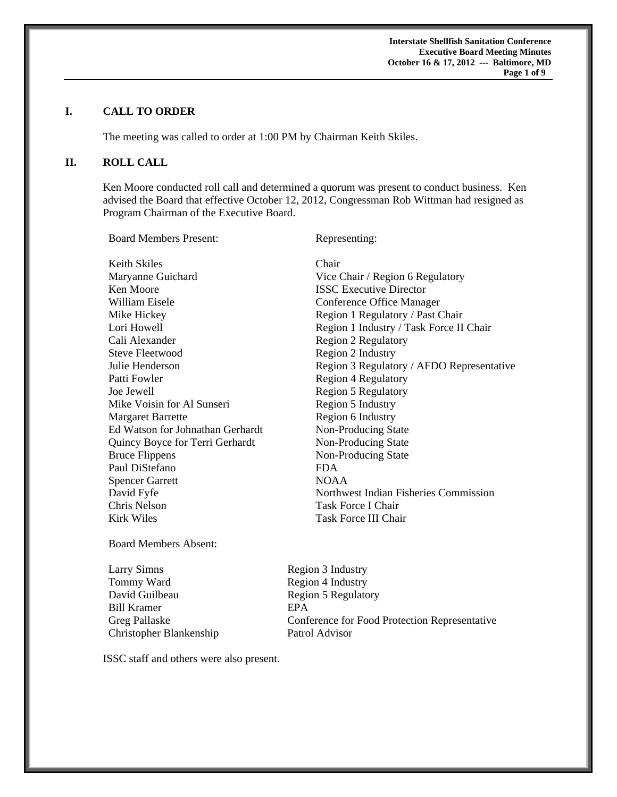**Interstate Shellfish Sanitation Conference Executive Board Meeting Minutes October 16 & 17, 2012 --- Baltimore, MD**  **Page 1 of 9** 

### **I. CALL TO ORDER**

The meeting was called to order at 1:00 PM by Chairman Keith Skiles.

### **II. ROLL CALL**

Ken Moore conducted roll call and determined a quorum was present to conduct business. Ken advised the Board that effective October 12, 2012, Congressman Rob Wittman had resigned as Program Chairman of the Executive Board.

Board Members Present: Representing:

Keith Skiles Chair Maryanne Guichard Vice Chair / Region 6 Regulatory **Ken Moore ISSC Executive Director** William Eisele **Conference** Office Manager Mike Hickey Region 1 Regulatory / Past Chair Cali Alexander Region 2 Regulatory Steve Fleetwood Region 2 Industry Patti Fowler Region 4 Regulatory Joe Jewell Region 5 Regulatory Mike Voisin for Al Sunseri Region 5 Industry Margaret Barrette Region 6 Industry Ed Watson for Johnathan Gerhardt Non-Producing State Quincy Boyce for Terri Gerhardt Non-Producing State Bruce Flippens Non-Producing State Paul DiStefano FDA Spencer Garrett NOAA Chris Nelson Task Force I Chair Kirk Wiles **Task Force III Chair** 

Lori Howell **Region 1 Industry / Task Force II Chair** Julie Henderson Region 3 Regulatory / AFDO Representative David Fyfe Northwest Indian Fisheries Commission

Board Members Absent:

Larry Simns Region 3 Industry Tommy Ward Region 4 Industry David Guilbeau Region 5 Regulatory Bill Kramer **EPA** Christopher Blankenship Patrol Advisor

Greg Pallaske Conference for Food Protection Representative

ISSC staff and others were also present.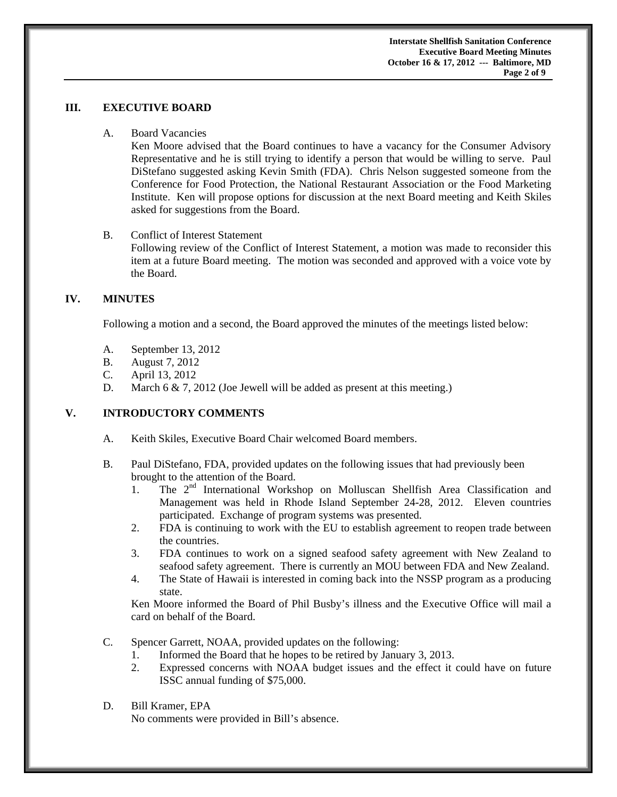**Interstate Shellfish Sanitation Conference Executive Board Meeting Minutes October 16 & 17, 2012 --- Baltimore, MD Page 2 of 9** 

### **III. EXECUTIVE BOARD**

A. Board Vacancies

Ken Moore advised that the Board continues to have a vacancy for the Consumer Advisory Representative and he is still trying to identify a person that would be willing to serve. Paul DiStefano suggested asking Kevin Smith (FDA). Chris Nelson suggested someone from the Conference for Food Protection, the National Restaurant Association or the Food Marketing Institute. Ken will propose options for discussion at the next Board meeting and Keith Skiles asked for suggestions from the Board.

### B. Conflict of Interest Statement

Following review of the Conflict of Interest Statement, a motion was made to reconsider this item at a future Board meeting. The motion was seconded and approved with a voice vote by the Board.

## **IV. MINUTES**

Following a motion and a second, the Board approved the minutes of the meetings listed below:

- A. September 13, 2012
- B. August 7, 2012
- C. April 13, 2012
- D. March 6 & 7, 2012 (Joe Jewell will be added as present at this meeting.)

# **V. INTRODUCTORY COMMENTS**

- A. Keith Skiles, Executive Board Chair welcomed Board members.
- B. Paul DiStefano, FDA, provided updates on the following issues that had previously been brought to the attention of the Board.
	- 1. The 2<sup>nd</sup> International Workshop on Molluscan Shellfish Area Classification and Management was held in Rhode Island September 24-28, 2012. Eleven countries participated. Exchange of program systems was presented.
	- 2. FDA is continuing to work with the EU to establish agreement to reopen trade between the countries.
	- 3. FDA continues to work on a signed seafood safety agreement with New Zealand to seafood safety agreement. There is currently an MOU between FDA and New Zealand.
	- 4. The State of Hawaii is interested in coming back into the NSSP program as a producing state.

Ken Moore informed the Board of Phil Busby's illness and the Executive Office will mail a card on behalf of the Board.

- C. Spencer Garrett, NOAA, provided updates on the following:
	- 1. Informed the Board that he hopes to be retired by January 3, 2013.
	- 2. Expressed concerns with NOAA budget issues and the effect it could have on future ISSC annual funding of \$75,000.
- D. Bill Kramer, EPA No comments were provided in Bill's absence.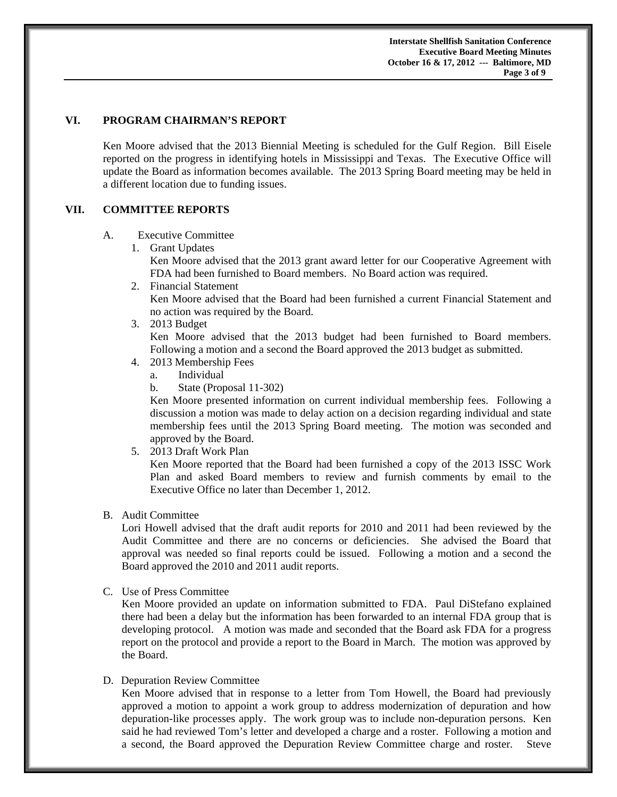**Interstate Shellfish Sanitation Conference Executive Board Meeting Minutes October 16 & 17, 2012 --- Baltimore, MD Page 3 of 9** 

### **VI. PROGRAM CHAIRMAN'S REPORT**

Ken Moore advised that the 2013 Biennial Meeting is scheduled for the Gulf Region. Bill Eisele reported on the progress in identifying hotels in Mississippi and Texas. The Executive Office will update the Board as information becomes available. The 2013 Spring Board meeting may be held in a different location due to funding issues.

## **VII. COMMITTEE REPORTS**

### A. Executive Committee

1. Grant Updates

Ken Moore advised that the 2013 grant award letter for our Cooperative Agreement with FDA had been furnished to Board members. No Board action was required.

2. Financial Statement

Ken Moore advised that the Board had been furnished a current Financial Statement and no action was required by the Board.

3. 2013 Budget

Ken Moore advised that the 2013 budget had been furnished to Board members. Following a motion and a second the Board approved the 2013 budget as submitted.

- 4. 2013 Membership Fees
	- a. Individual
	- b. State (Proposal 11-302)

Ken Moore presented information on current individual membership fees. Following a discussion a motion was made to delay action on a decision regarding individual and state membership fees until the 2013 Spring Board meeting. The motion was seconded and approved by the Board.

5. 2013 Draft Work Plan

Ken Moore reported that the Board had been furnished a copy of the 2013 ISSC Work Plan and asked Board members to review and furnish comments by email to the Executive Office no later than December 1, 2012.

## B. Audit Committee

Lori Howell advised that the draft audit reports for 2010 and 2011 had been reviewed by the Audit Committee and there are no concerns or deficiencies. She advised the Board that approval was needed so final reports could be issued. Following a motion and a second the Board approved the 2010 and 2011 audit reports.

C. Use of Press Committee

Ken Moore provided an update on information submitted to FDA. Paul DiStefano explained there had been a delay but the information has been forwarded to an internal FDA group that is developing protocol. A motion was made and seconded that the Board ask FDA for a progress report on the protocol and provide a report to the Board in March. The motion was approved by the Board.

## D. Depuration Review Committee

Ken Moore advised that in response to a letter from Tom Howell, the Board had previously approved a motion to appoint a work group to address modernization of depuration and how depuration-like processes apply. The work group was to include non-depuration persons. Ken said he had reviewed Tom's letter and developed a charge and a roster. Following a motion and a second, the Board approved the Depuration Review Committee charge and roster. Steve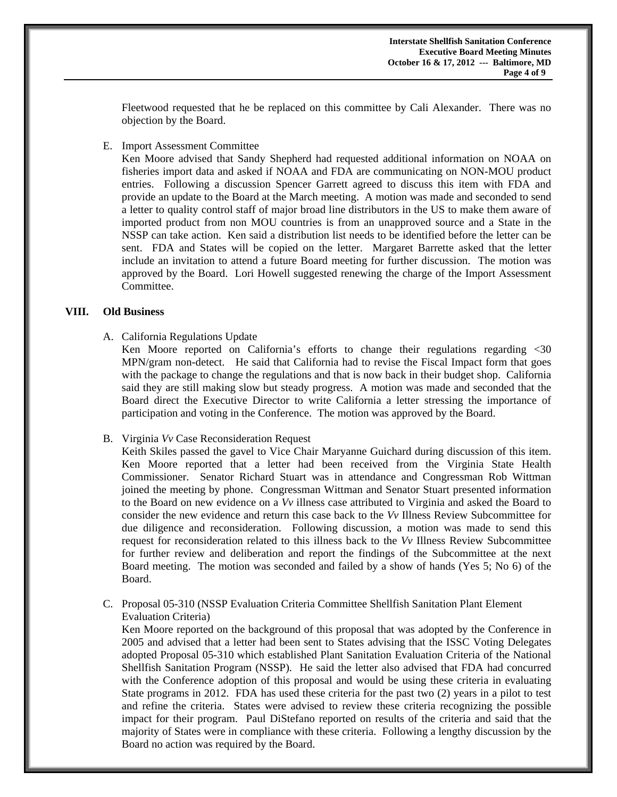Fleetwood requested that he be replaced on this committee by Cali Alexander. There was no objection by the Board.

E. Import Assessment Committee

Ken Moore advised that Sandy Shepherd had requested additional information on NOAA on fisheries import data and asked if NOAA and FDA are communicating on NON-MOU product entries. Following a discussion Spencer Garrett agreed to discuss this item with FDA and provide an update to the Board at the March meeting. A motion was made and seconded to send a letter to quality control staff of major broad line distributors in the US to make them aware of imported product from non MOU countries is from an unapproved source and a State in the NSSP can take action. Ken said a distribution list needs to be identified before the letter can be sent. FDA and States will be copied on the letter. Margaret Barrette asked that the letter include an invitation to attend a future Board meeting for further discussion. The motion was approved by the Board. Lori Howell suggested renewing the charge of the Import Assessment Committee.

#### **VIII. Old Business**

A. California Regulations Update

 Ken Moore reported on California's efforts to change their regulations regarding <30 MPN/gram non-detect. He said that California had to revise the Fiscal Impact form that goes with the package to change the regulations and that is now back in their budget shop. California said they are still making slow but steady progress. A motion was made and seconded that the Board direct the Executive Director to write California a letter stressing the importance of participation and voting in the Conference. The motion was approved by the Board.

B. Virginia *Vv* Case Reconsideration Request

 Keith Skiles passed the gavel to Vice Chair Maryanne Guichard during discussion of this item. Ken Moore reported that a letter had been received from the Virginia State Health Commissioner. Senator Richard Stuart was in attendance and Congressman Rob Wittman joined the meeting by phone. Congressman Wittman and Senator Stuart presented information to the Board on new evidence on a *Vv* illness case attributed to Virginia and asked the Board to consider the new evidence and return this case back to the *Vv* Illness Review Subcommittee for due diligence and reconsideration. Following discussion, a motion was made to send this request for reconsideration related to this illness back to the *Vv* Illness Review Subcommittee for further review and deliberation and report the findings of the Subcommittee at the next Board meeting. The motion was seconded and failed by a show of hands (Yes 5; No 6) of the Board.

C. Proposal 05-310 (NSSP Evaluation Criteria Committee Shellfish Sanitation Plant Element Evaluation Criteria)

Ken Moore reported on the background of this proposal that was adopted by the Conference in 2005 and advised that a letter had been sent to States advising that the ISSC Voting Delegates adopted Proposal 05-310 which established Plant Sanitation Evaluation Criteria of the National Shellfish Sanitation Program (NSSP). He said the letter also advised that FDA had concurred with the Conference adoption of this proposal and would be using these criteria in evaluating State programs in 2012. FDA has used these criteria for the past two (2) years in a pilot to test and refine the criteria. States were advised to review these criteria recognizing the possible impact for their program. Paul DiStefano reported on results of the criteria and said that the majority of States were in compliance with these criteria. Following a lengthy discussion by the Board no action was required by the Board.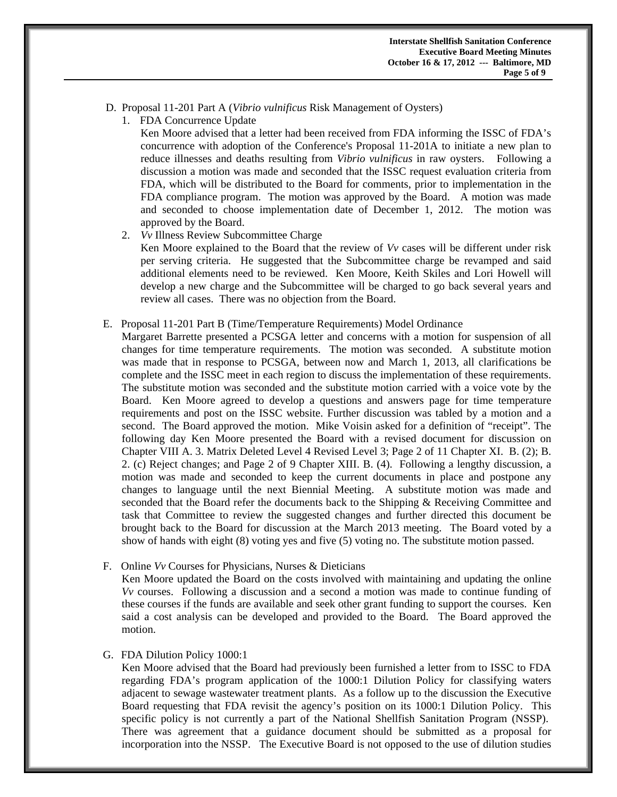- D. Proposal 11-201 Part A (*Vibrio vulnificus* Risk Management of Oysters)
	- 1. FDA Concurrence Update

Ken Moore advised that a letter had been received from FDA informing the ISSC of FDA's concurrence with adoption of the Conference's Proposal 11-201A to initiate a new plan to reduce illnesses and deaths resulting from *Vibrio vulnificus* in raw oysters. Following a discussion a motion was made and seconded that the ISSC request evaluation criteria from FDA, which will be distributed to the Board for comments, prior to implementation in the FDA compliance program. The motion was approved by the Board. A motion was made and seconded to choose implementation date of December 1, 2012. The motion was approved by the Board.

2. *Vv* Illness Review Subcommittee Charge

 Ken Moore explained to the Board that the review of *Vv* cases will be different under risk per serving criteria. He suggested that the Subcommittee charge be revamped and said additional elements need to be reviewed. Ken Moore, Keith Skiles and Lori Howell will develop a new charge and the Subcommittee will be charged to go back several years and review all cases. There was no objection from the Board.

E. Proposal 11-201 Part B (Time/Temperature Requirements) Model Ordinance

Margaret Barrette presented a PCSGA letter and concerns with a motion for suspension of all changes for time temperature requirements. The motion was seconded. A substitute motion was made that in response to PCSGA, between now and March 1, 2013, all clarifications be complete and the ISSC meet in each region to discuss the implementation of these requirements. The substitute motion was seconded and the substitute motion carried with a voice vote by the Board. Ken Moore agreed to develop a questions and answers page for time temperature requirements and post on the ISSC website. Further discussion was tabled by a motion and a second. The Board approved the motion. Mike Voisin asked for a definition of "receipt". The following day Ken Moore presented the Board with a revised document for discussion on Chapter VIII A. 3. Matrix Deleted Level 4 Revised Level 3; Page 2 of 11 Chapter XI. B. (2); B. 2. (c) Reject changes; and Page 2 of 9 Chapter XIII. B. (4). Following a lengthy discussion, a motion was made and seconded to keep the current documents in place and postpone any changes to language until the next Biennial Meeting. A substitute motion was made and seconded that the Board refer the documents back to the Shipping & Receiving Committee and task that Committee to review the suggested changes and further directed this document be brought back to the Board for discussion at the March 2013 meeting. The Board voted by a show of hands with eight (8) voting yes and five (5) voting no. The substitute motion passed.

F. Online *Vv* Courses for Physicians, Nurses & Dieticians

Ken Moore updated the Board on the costs involved with maintaining and updating the online *Vv* courses. Following a discussion and a second a motion was made to continue funding of these courses if the funds are available and seek other grant funding to support the courses. Ken said a cost analysis can be developed and provided to the Board. The Board approved the motion.

#### G. FDA Dilution Policy 1000:1

Ken Moore advised that the Board had previously been furnished a letter from to ISSC to FDA regarding FDA's program application of the 1000:1 Dilution Policy for classifying waters adjacent to sewage wastewater treatment plants. As a follow up to the discussion the Executive Board requesting that FDA revisit the agency's position on its 1000:1 Dilution Policy. This specific policy is not currently a part of the National Shellfish Sanitation Program (NSSP). There was agreement that a guidance document should be submitted as a proposal for incorporation into the NSSP. The Executive Board is not opposed to the use of dilution studies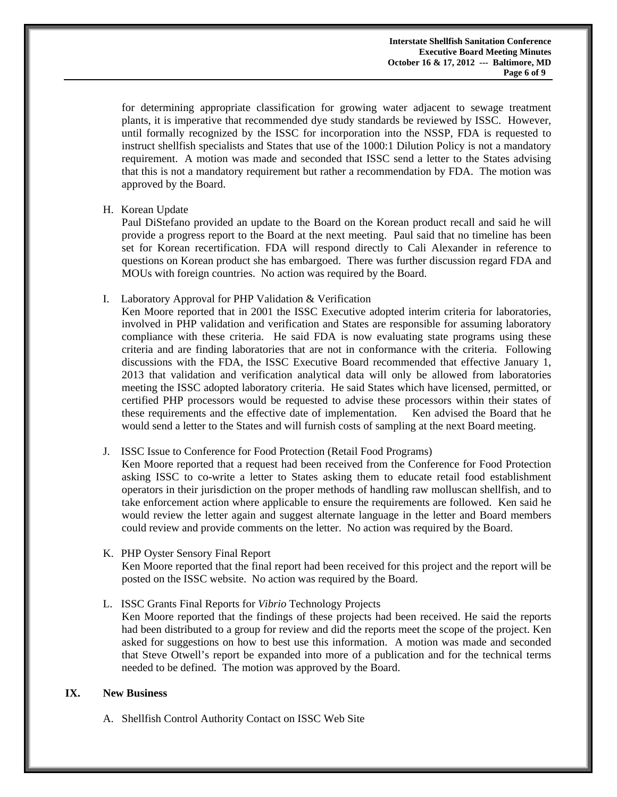**Interstate Shellfish Sanitation Conference Executive Board Meeting Minutes October 16 & 17, 2012 --- Baltimore, MD Page 6 of 9** 

> for determining appropriate classification for growing water adjacent to sewage treatment plants, it is imperative that recommended dye study standards be reviewed by ISSC. However, until formally recognized by the ISSC for incorporation into the NSSP, FDA is requested to instruct shellfish specialists and States that use of the 1000:1 Dilution Policy is not a mandatory requirement. A motion was made and seconded that ISSC send a letter to the States advising that this is not a mandatory requirement but rather a recommendation by FDA. The motion was approved by the Board.

### H. Korean Update

Paul DiStefano provided an update to the Board on the Korean product recall and said he will provide a progress report to the Board at the next meeting. Paul said that no timeline has been set for Korean recertification. FDA will respond directly to Cali Alexander in reference to questions on Korean product she has embargoed. There was further discussion regard FDA and MOUs with foreign countries. No action was required by the Board.

I. Laboratory Approval for PHP Validation & Verification

Ken Moore reported that in 2001 the ISSC Executive adopted interim criteria for laboratories, involved in PHP validation and verification and States are responsible for assuming laboratory compliance with these criteria. He said FDA is now evaluating state programs using these criteria and are finding laboratories that are not in conformance with the criteria. Following discussions with the FDA, the ISSC Executive Board recommended that effective January 1, 2013 that validation and verification analytical data will only be allowed from laboratories meeting the ISSC adopted laboratory criteria. He said States which have licensed, permitted, or certified PHP processors would be requested to advise these processors within their states of these requirements and the effective date of implementation. Ken advised the Board that he would send a letter to the States and will furnish costs of sampling at the next Board meeting.

## J. ISSC Issue to Conference for Food Protection (Retail Food Programs)

Ken Moore reported that a request had been received from the Conference for Food Protection asking ISSC to co-write a letter to States asking them to educate retail food establishment operators in their jurisdiction on the proper methods of handling raw molluscan shellfish, and to take enforcement action where applicable to ensure the requirements are followed. Ken said he would review the letter again and suggest alternate language in the letter and Board members could review and provide comments on the letter. No action was required by the Board.

K. PHP Oyster Sensory Final Report

Ken Moore reported that the final report had been received for this project and the report will be posted on the ISSC website. No action was required by the Board.

L. ISSC Grants Final Reports for *Vibrio* Technology Projects

Ken Moore reported that the findings of these projects had been received. He said the reports had been distributed to a group for review and did the reports meet the scope of the project. Ken asked for suggestions on how to best use this information. A motion was made and seconded that Steve Otwell's report be expanded into more of a publication and for the technical terms needed to be defined. The motion was approved by the Board.

### **IX. New Business**

A. Shellfish Control Authority Contact on ISSC Web Site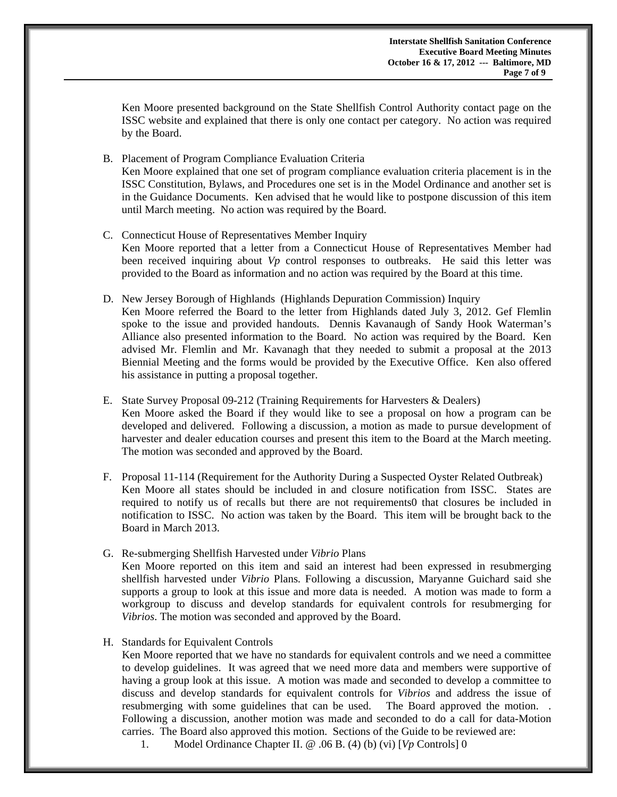Ken Moore presented background on the State Shellfish Control Authority contact page on the ISSC website and explained that there is only one contact per category. No action was required by the Board.

- B. Placement of Program Compliance Evaluation Criteria Ken Moore explained that one set of program compliance evaluation criteria placement is in the ISSC Constitution, Bylaws, and Procedures one set is in the Model Ordinance and another set is in the Guidance Documents. Ken advised that he would like to postpone discussion of this item until March meeting. No action was required by the Board.
- C. Connecticut House of Representatives Member Inquiry Ken Moore reported that a letter from a Connecticut House of Representatives Member had been received inquiring about *Vp* control responses to outbreaks. He said this letter was provided to the Board as information and no action was required by the Board at this time.
- D. New Jersey Borough of Highlands (Highlands Depuration Commission) Inquiry Ken Moore referred the Board to the letter from Highlands dated July 3, 2012. Gef Flemlin spoke to the issue and provided handouts. Dennis Kavanaugh of Sandy Hook Waterman's Alliance also presented information to the Board. No action was required by the Board. Ken advised Mr. Flemlin and Mr. Kavanagh that they needed to submit a proposal at the 2013 Biennial Meeting and the forms would be provided by the Executive Office. Ken also offered his assistance in putting a proposal together.
- E. State Survey Proposal 09-212 (Training Requirements for Harvesters & Dealers) Ken Moore asked the Board if they would like to see a proposal on how a program can be developed and delivered. Following a discussion, a motion as made to pursue development of harvester and dealer education courses and present this item to the Board at the March meeting. The motion was seconded and approved by the Board.
- F. Proposal 11-114 (Requirement for the Authority During a Suspected Oyster Related Outbreak) Ken Moore all states should be included in and closure notification from ISSC. States are required to notify us of recalls but there are not requirements0 that closures be included in notification to ISSC. No action was taken by the Board. This item will be brought back to the Board in March 2013.
- G. Re-submerging Shellfish Harvested under *Vibrio* Plans

Ken Moore reported on this item and said an interest had been expressed in resubmerging shellfish harvested under *Vibrio* Plans. Following a discussion, Maryanne Guichard said she supports a group to look at this issue and more data is needed. A motion was made to form a workgroup to discuss and develop standards for equivalent controls for resubmerging for *Vibrios*. The motion was seconded and approved by the Board.

H. Standards for Equivalent Controls

Ken Moore reported that we have no standards for equivalent controls and we need a committee to develop guidelines. It was agreed that we need more data and members were supportive of having a group look at this issue. A motion was made and seconded to develop a committee to discuss and develop standards for equivalent controls for *Vibrios* and address the issue of resubmerging with some guidelines that can be used. The Board approved the motion. . Following a discussion, another motion was made and seconded to do a call for data-Motion carries. The Board also approved this motion. Sections of the Guide to be reviewed are:

1. Model Ordinance Chapter II. @ .06 B. (4) (b) (vi) [*Vp* Controls] 0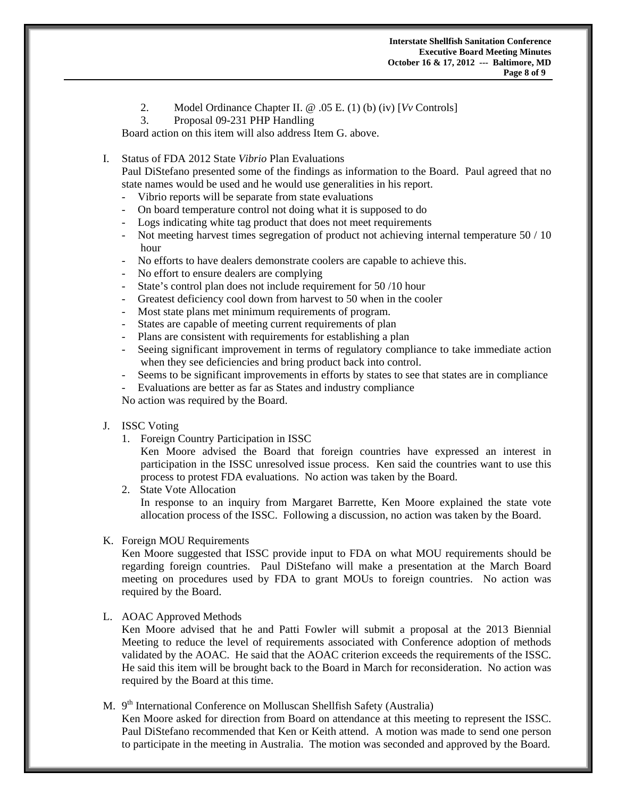- 2. Model Ordinance Chapter II. @ .05 E. (1) (b) (iv) [*Vv* Controls]
- 3. Proposal 09-231 PHP Handling

Board action on this item will also address Item G. above.

# I. Status of FDA 2012 State *Vibrio* Plan Evaluations

 Paul DiStefano presented some of the findings as information to the Board. Paul agreed that no state names would be used and he would use generalities in his report.

- Vibrio reports will be separate from state evaluations
- On board temperature control not doing what it is supposed to do
- Logs indicating white tag product that does not meet requirements
- Not meeting harvest times segregation of product not achieving internal temperature 50 / 10 hour
- No efforts to have dealers demonstrate coolers are capable to achieve this.
- No effort to ensure dealers are complying
- State's control plan does not include requirement for 50 /10 hour
- Greatest deficiency cool down from harvest to 50 when in the cooler
- Most state plans met minimum requirements of program.
- States are capable of meeting current requirements of plan
- Plans are consistent with requirements for establishing a plan
- Seeing significant improvement in terms of regulatory compliance to take immediate action when they see deficiencies and bring product back into control.
- Seems to be significant improvements in efforts by states to see that states are in compliance
- Evaluations are better as far as States and industry compliance

No action was required by the Board.

#### J. ISSC Voting

1. Foreign Country Participation in ISSC

 Ken Moore advised the Board that foreign countries have expressed an interest in participation in the ISSC unresolved issue process. Ken said the countries want to use this process to protest FDA evaluations. No action was taken by the Board.

2. State Vote Allocation In response to an inquiry from Margaret Barrette, Ken Moore explained the state vote allocation process of the ISSC. Following a discussion, no action was taken by the Board.

#### K. Foreign MOU Requirements

 Ken Moore suggested that ISSC provide input to FDA on what MOU requirements should be regarding foreign countries. Paul DiStefano will make a presentation at the March Board meeting on procedures used by FDA to grant MOUs to foreign countries. No action was required by the Board.

### L. AOAC Approved Methods

 Ken Moore advised that he and Patti Fowler will submit a proposal at the 2013 Biennial Meeting to reduce the level of requirements associated with Conference adoption of methods validated by the AOAC. He said that the AOAC criterion exceeds the requirements of the ISSC. He said this item will be brought back to the Board in March for reconsideration. No action was required by the Board at this time.

# M.  $9<sup>th</sup> International Conference on Molluscan Shellfish Safety (Australia)$

 Ken Moore asked for direction from Board on attendance at this meeting to represent the ISSC. Paul DiStefano recommended that Ken or Keith attend. A motion was made to send one person to participate in the meeting in Australia. The motion was seconded and approved by the Board.